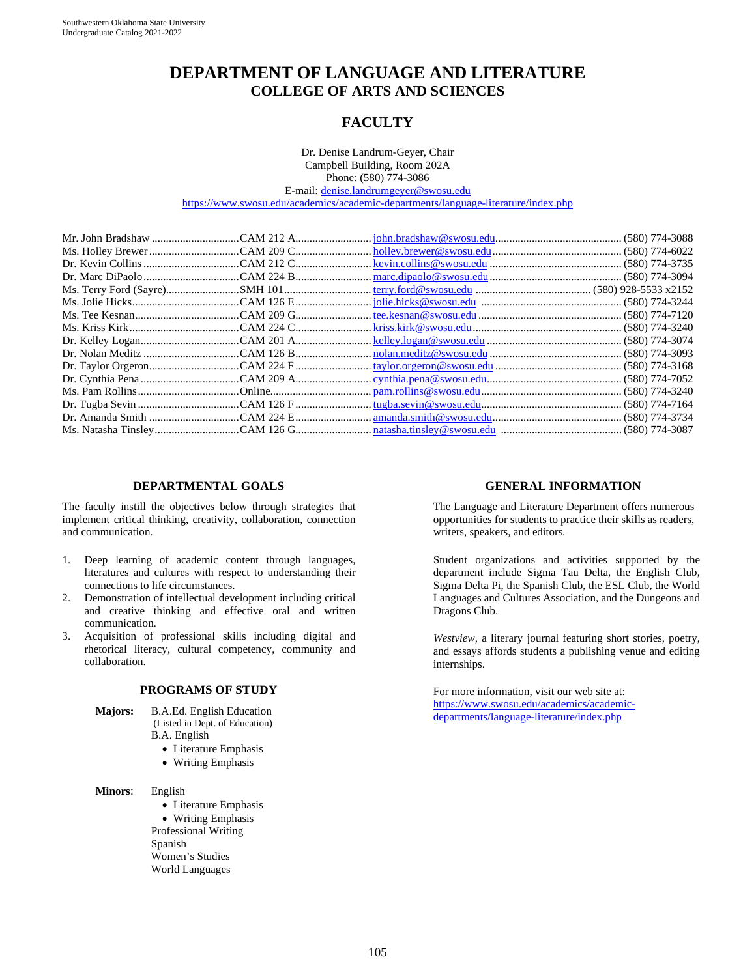# **DEPARTMENT OF LANGUAGE AND LITERATURE COLLEGE OF ARTS AND SCIENCES**

## **FACULTY**

Dr. Denise Landrum-Geyer, Chair Campbell Building, Room 202A Phone: (580) 774-3086 E-mail: [denise.landrumgeyer@swosu.edu](mailto:denise.landrumgeyer@swosu.edu) <https://www.swosu.edu/academics/academic-departments/language-literature/index.php>

#### **DEPARTMENTAL GOALS**

The faculty instill the objectives below through strategies that implement critical thinking, creativity, collaboration, connection and communication.

- 1. Deep learning of academic content through languages, literatures and cultures with respect to understanding their connections to life circumstances.
- 2. Demonstration of intellectual development including critical and creative thinking and effective oral and written communication.
- 3. Acquisition of professional skills including digital and rhetorical literacy, cultural competency, community and collaboration.

#### **PROGRAMS OF STUDY**

- **Majors:** B.A.Ed. English Education (Listed in Dept. of Education) B.A. English
	- Literature Emphasis
	- Writing Emphasis
- **Minors**: English

• Literature Emphasis

• Writing Emphasis Professional Writing Spanish Women's Studies World Languages

#### **GENERAL INFORMATION**

The Language and Literature Department offers numerous opportunities for students to practice their skills as readers, writers, speakers, and editors.

Student organizations and activities supported by the department include Sigma Tau Delta, the English Club, Sigma Delta Pi, the Spanish Club, the ESL Club, the World Languages and Cultures Association, and the Dungeons and Dragons Club.

*Westview,* a literary journal featuring short stories, poetry, and essays affords students a publishing venue and editing internships.

For more information, visit our web site at: [https://www.swosu.edu/academics/academic](https://www.swosu.edu/academics/academic-departments/language-literature/index.php)[departments/language-literature/index.php](https://www.swosu.edu/academics/academic-departments/language-literature/index.php)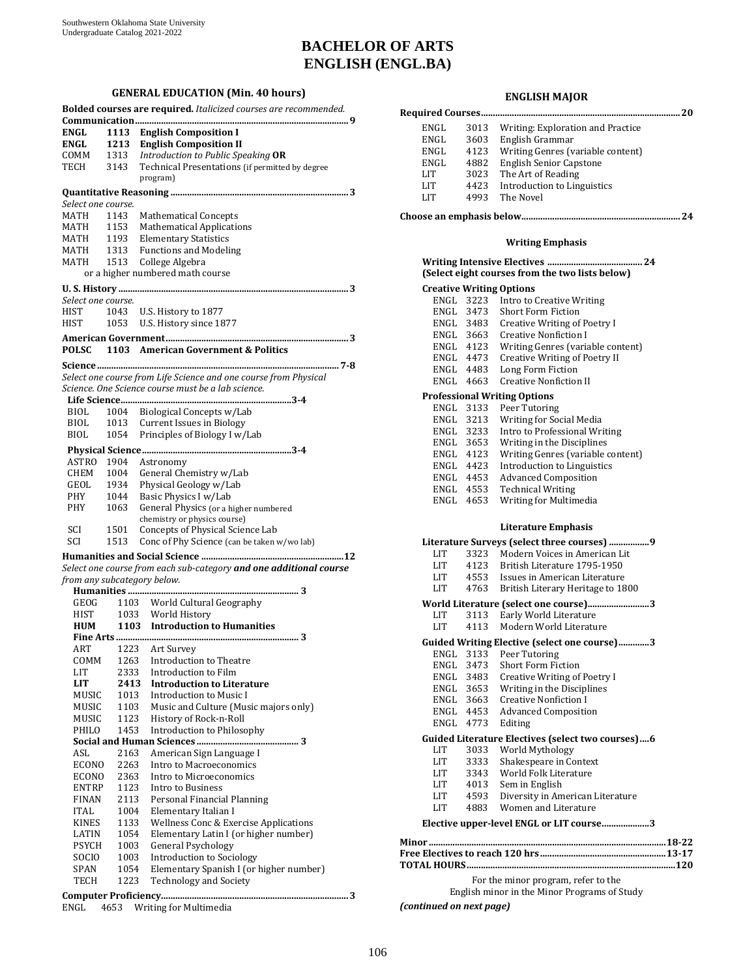## **BACHELOR OF ARTS ENGLISH (ENGL.BA)**

#### **GENERAL EDUCATION (Min. 40 hours)**

|                    |      | Bolded courses are required. Italicized courses are recommended.   |
|--------------------|------|--------------------------------------------------------------------|
| <b>ENGL</b>        |      | 1113 English Composition I                                         |
| ENGL               |      | 1213 English Composition II                                        |
| $COMM$ 1313        |      | Introduction to Public Speaking OR                                 |
| TECH               | 3143 | Technical Presentations (if permitted by degree                    |
|                    |      | program)                                                           |
|                    |      |                                                                    |
| Select one course. |      |                                                                    |
| MATH               | 1143 | <b>Mathematical Concepts</b>                                       |
| <b>MATH</b>        | 1153 | <b>Mathematical Applications</b>                                   |
| MATH               | 1193 | <b>Elementary Statistics</b>                                       |
| <b>MATH</b>        | 1313 | <b>Functions and Modeling</b>                                      |
| MATH               | 1513 | College Algebra                                                    |
|                    |      | or a higher numbered math course                                   |
|                    |      |                                                                    |
| Select one course. |      |                                                                    |
| HIST               |      | 1043 U.S. History to 1877                                          |
| HIST               | 1053 |                                                                    |
|                    |      | U.S. History since 1877                                            |
|                    |      |                                                                    |
| <b>POLSC</b>       |      | 1103 American Government & Politics                                |
|                    |      |                                                                    |
|                    |      | Select one course from Life Science and one course from Physical   |
|                    |      | Science. One Science course must be a lab science.                 |
|                    |      |                                                                    |
| BIOL               |      | 1004 Biological Concepts w/Lab                                     |
| BIOL               |      | 1013 Current Issues in Biology                                     |
| <b>BIOL</b>        | 1054 | Principles of Biology I w/Lab                                      |
|                    |      |                                                                    |
|                    |      |                                                                    |
| ASTRO              | 1904 | Astronomy                                                          |
| CHEM 1004          |      | General Chemistry w/Lab                                            |
| GEOL               | 1934 | Physical Geology w/Lab                                             |
| PHY                | 1044 | Basic Physics I w/Lab                                              |
| PHY                | 1063 | General Physics (or a higher numbered                              |
|                    |      | chemistry or physics course)                                       |
| SCI                | 1501 | Concepts of Physical Science Lab                                   |
| SCI                | 1513 | Conc of Phy Science (can be taken w/wo lab)                        |
|                    |      |                                                                    |
|                    |      | Select one course from each sub-category and one additional course |
|                    |      | from any subcategory below.                                        |
|                    |      |                                                                    |
| GEOG               |      |                                                                    |
| HIST               |      | 1103 World Cultural Geography<br>1033 World History                |
| <b>HUM</b>         |      | 1103 Introduction to Humanities                                    |
|                    |      |                                                                    |
| ART                |      | 1223 Art Survey                                                    |
| COMM               | 1263 | Introduction to Theatre                                            |
| LIT                | 2333 | Introduction to Film                                               |
| LIT                | 2413 | <b>Introduction to Literature</b>                                  |
| MUSIC              | 1013 | <b>Introduction to Music I</b>                                     |
| MUSIC              | 1103 | Music and Culture (Music majors only)                              |
| MUSIC              | 1123 | History of Rock-n-Roll                                             |
| PHILO              | 1453 | Introduction to Philosophy                                         |
|                    |      |                                                                    |
| ASL                | 2163 | American Sign Language I                                           |
| ECONO              | 2263 | Intro to Macroeconomics                                            |
| ECONO              | 2363 | Intro to Microeconomics                                            |
| <b>ENTRP</b>       | 1123 | Intro to Business                                                  |
| FINAN              | 2113 | Personal Financial Planning                                        |
| <b>ITAL</b>        | 1004 | Elementary Italian I                                               |
| <b>KINES</b>       | 1133 | Wellness Conc & Exercise Applications                              |
| LATIN              | 1054 | Elementary Latin I (or higher number)                              |
| PSYCH              | 1003 | <b>General Psychology</b>                                          |
| SOCIO              | 1003 | Introduction to Sociology                                          |
| SPAN               | 1054 | Elementary Spanish I (or higher number)                            |
| TECH               | 1223 | <b>Technology and Society</b>                                      |
|                    |      |                                                                    |
|                    |      | 3                                                                  |

ENGL 4653 Writing for Multimedia

#### **ENGLISH MAJOR**

| ENGL                            |                        | 3013 Writing: Exploration and Practice                                         |  |
|---------------------------------|------------------------|--------------------------------------------------------------------------------|--|
| ENGL                            | 3603                   | English Grammar                                                                |  |
| ENGL                            | 4123                   | Writing Genres (variable content)                                              |  |
| ENGL                            | 4882                   | <b>English Senior Capstone</b>                                                 |  |
| LIT                             | 3023                   | The Art of Reading                                                             |  |
| LIT                             | 4423                   | <b>Introduction to Linguistics</b>                                             |  |
| LIT                             | 4993                   | The Novel                                                                      |  |
|                                 |                        |                                                                                |  |
|                                 |                        |                                                                                |  |
|                                 |                        | <b>Writing Emphasis</b>                                                        |  |
|                                 |                        | 24<br>(Select eight courses from the two lists below)                          |  |
| <b>Creative Writing Options</b> |                        |                                                                                |  |
| ENGL                            | 3223                   | Intro to Creative Writing                                                      |  |
|                                 |                        | ENGL 3473 Short Form Fiction<br>ENGL 3483 Creative Writing of Poetry I         |  |
|                                 |                        |                                                                                |  |
|                                 |                        | ENGL 3663 Creative Nonfiction I<br>ENGL 4123 Writing Genres (variable content) |  |
|                                 |                        | Creative Writing of Poetry II                                                  |  |
|                                 | ENGL 4473<br>ENGL 4483 | Long Form Fiction                                                              |  |
| ENGL 4663                       |                        | <b>Creative Nonfiction II</b>                                                  |  |
|                                 |                        |                                                                                |  |
|                                 |                        | <b>Professional Writing Options</b>                                            |  |
| ENGL 3133                       |                        | Peer Tutoring<br>Writing for Social Media                                      |  |
|                                 | ENGL 3213              | Intro to Professional Writing                                                  |  |
|                                 | ENGL 3233<br>ENGL 3653 | Writing in the Disciplines                                                     |  |
|                                 | ENGL 4123              | Writing Genres (variable content)                                              |  |
|                                 | ENGL 4423              | Introduction to Linguistics                                                    |  |
|                                 | ENGL 4453              | <b>Advanced Composition</b>                                                    |  |
|                                 | ENGL 4553              | <b>Technical Writing</b>                                                       |  |
| ENGL 4653                       |                        | Writing for Multimedia                                                         |  |
|                                 |                        | <b>Literature Emphasis</b>                                                     |  |
|                                 |                        | Literature Surveys (select three courses) 9                                    |  |
| LIT                             |                        | 3323 Modern Voices in American Lit                                             |  |
|                                 | LIT 4123               | British Literature 1795-1950                                                   |  |
| LIT                             | 4553                   | Issues in American Literature                                                  |  |
|                                 |                        | LIT 4763 British Literary Heritage to 1800                                     |  |
|                                 |                        | World Literature (select one course)3                                          |  |
| LIT                             | 3113                   | Early World Literature                                                         |  |
| LIT                             | 4113                   | Modern World Literature                                                        |  |
|                                 |                        | Guided Writing Elective (select one course)3                                   |  |
| ENGL                            | 3133                   | Peer Tutoring                                                                  |  |
| ENGL                            | 3473                   | Short Form Fiction                                                             |  |
| ENGL                            | 3483                   | <b>Creative Writing of Poetry I</b>                                            |  |
| ENGL                            | 3653                   | Writing in the Disciplines                                                     |  |
| ENGL                            | 3663                   | <b>Creative Nonfiction I</b>                                                   |  |
| ENGL                            | 4453                   | <b>Advanced Composition</b>                                                    |  |
| ENGL                            | 4773                   | Editing                                                                        |  |
|                                 |                        | Guided Literature Electives (select two courses) 6                             |  |
| LIT                             | 3033                   | World Mythology                                                                |  |
| LIT                             | 3333                   | Shakespeare in Context                                                         |  |
| LIT                             | 3343                   | World Folk Literature                                                          |  |
| LIT                             | 4013                   | Sem in English                                                                 |  |
| LIT                             | 4593                   | Diversity in American Literature                                               |  |
| LIT                             | 4883                   | Women and Literature                                                           |  |
|                                 |                        | Elective upper-level ENGL or LIT course3                                       |  |
|                                 |                        |                                                                                |  |
|                                 |                        |                                                                                |  |
|                                 |                        |                                                                                |  |
|                                 |                        | For the minor program, refer to the                                            |  |

English minor in the Minor Programs of Study

*(continued on next page)*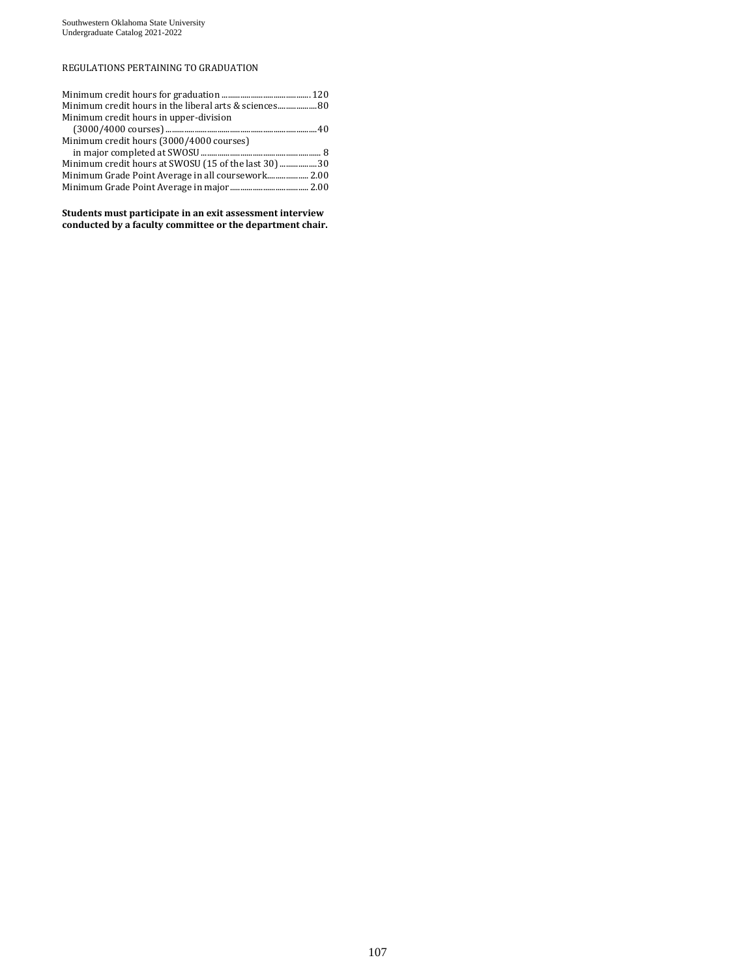### REGULATIONS PERTAINING TO GRADUATION

| Minimum credit hours in upper-division               |  |
|------------------------------------------------------|--|
|                                                      |  |
| Minimum credit hours (3000/4000 courses)             |  |
|                                                      |  |
| Minimum credit hours at SWOSU (15 of the last 30) 30 |  |
|                                                      |  |
|                                                      |  |

**Students must participate in an exit assessment interview conducted by a faculty committee or the department chair.**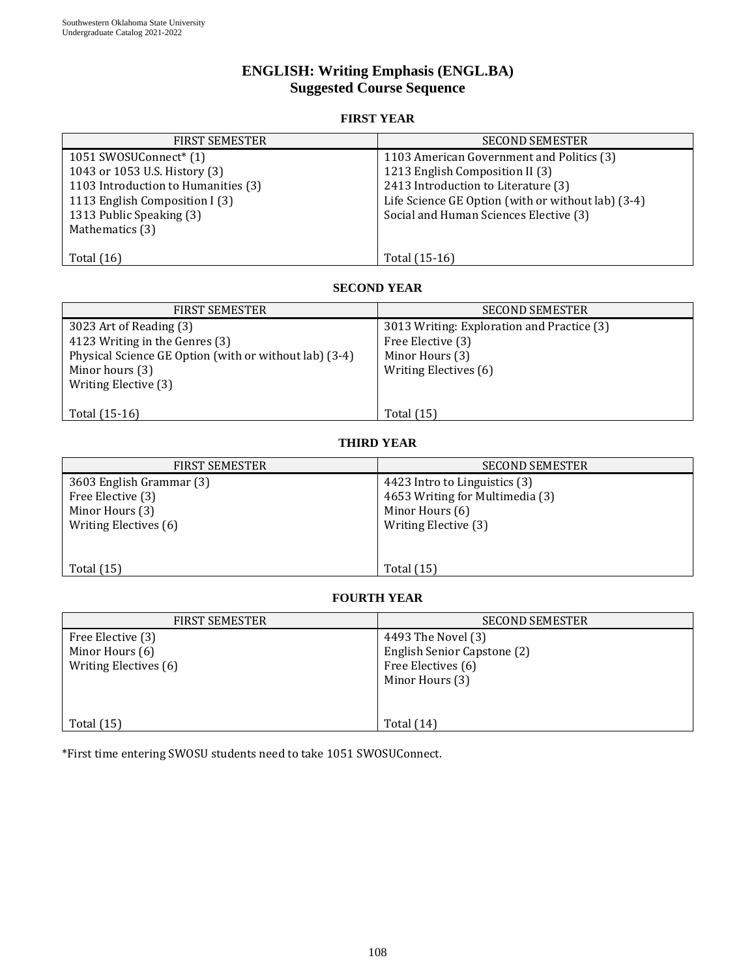# **ENGLISH: Writing Emphasis (ENGL.BA) Suggested Course Sequence**

## **FIRST YEAR**

| <b>FIRST SEMESTER</b>               | <b>SECOND SEMESTER</b>                             |
|-------------------------------------|----------------------------------------------------|
| 1051 SWOSUConnect <sup>*</sup> (1)  | 1103 American Government and Politics (3)          |
| 1043 or 1053 U.S. History (3)       | 1213 English Composition II (3)                    |
| 1103 Introduction to Humanities (3) | 2413 Introduction to Literature (3)                |
| 1113 English Composition I (3)      | Life Science GE Option (with or without lab) (3-4) |
| 1313 Public Speaking (3)            | Social and Human Sciences Elective (3)             |
| Mathematics (3)                     |                                                    |
|                                     |                                                    |
| Total $(16)$                        | Total (15-16)                                      |

### **SECOND YEAR**

| <b>FIRST SEMESTER</b>                                                                                               | <b>SECOND SEMESTER</b>                                                             |
|---------------------------------------------------------------------------------------------------------------------|------------------------------------------------------------------------------------|
| 3023 Art of Reading (3)<br>4123 Writing in the Genres (3)<br>Physical Science GE Option (with or without lab) (3-4) | 3013 Writing: Exploration and Practice (3)<br>Free Elective (3)<br>Minor Hours (3) |
| Minor hours (3)<br>Writing Elective (3)                                                                             | Writing Electives (6)                                                              |
| Total (15-16)                                                                                                       | Total (15)                                                                         |

### **THIRD YEAR**

| <b>FIRST SEMESTER</b>                                                                     | <b>SECOND SEMESTER</b>                                                                                      |
|-------------------------------------------------------------------------------------------|-------------------------------------------------------------------------------------------------------------|
| 3603 English Grammar (3)<br>Free Elective (3)<br>Minor Hours (3)<br>Writing Electives (6) | 4423 Intro to Linguistics (3)<br>4653 Writing for Multimedia (3)<br>Minor Hours (6)<br>Writing Elective (3) |
| Total $(15)$                                                                              | <b>Total</b> (15)                                                                                           |

## **FOURTH YEAR**

| <b>FIRST SEMESTER</b>                                         | <b>SECOND SEMESTER</b>                                                                     |
|---------------------------------------------------------------|--------------------------------------------------------------------------------------------|
| Free Elective (3)<br>Minor Hours (6)<br>Writing Electives (6) | 4493 The Novel (3)<br>English Senior Capstone (2)<br>Free Electives (6)<br>Minor Hours (3) |
| Total $(15)$                                                  | Total $(14)$                                                                               |

\*First time entering SWOSU students need to take 1051 SWOSUConnect.